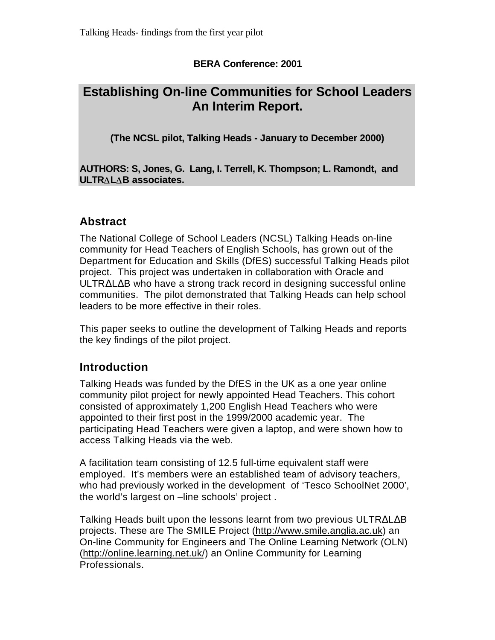### **BERA Conference: 2001**

# **Establishing On-line Communities for School Leaders An Interim Report.**

**(The NCSL pilot, Talking Heads - January to December 2000)**

**AUTHORS: S, Jones, G. Lang, I. Terrell, K. Thompson; L. Ramondt, and ULTRALAB associates.** 

## **Abstract**

The National College of School Leaders (NCSL) Talking Heads on-line community for Head Teachers of English Schools, has grown out of the Department for Education and Skills (DfES) successful Talking Heads pilot project. This project was undertaken in collaboration with Oracle and ULTR L B who have a strong track record in designing successful online communities. The pilot demonstrated that Talking Heads can help school leaders to be more effective in their roles.

This paper seeks to outline the development of Talking Heads and reports the key findings of the pilot project.

## **Introduction**

Talking Heads was funded by the DfES in the UK as a one year online community pilot project for newly appointed Head Teachers. This cohort consisted of approximately 1,200 English Head Teachers who were appointed to their first post in the 1999/2000 academic year. The participating Head Teachers were given a laptop, and were shown how to access Talking Heads via the web.

A facilitation team consisting of 12.5 full-time equivalent staff were employed. It's members were an established team of advisory teachers, who had previously worked in the development of 'Tesco SchoolNet 2000', the world's largest on –line schools' project .

Talking Heads built upon the lessons learnt from two previous ULTR L B projects. These are The SMILE Project (http://www.smile.anglia.ac.uk) an On-line Community for Engineers and The Online Learning Network (OLN) (http://online.learning.net.uk/) an Online Community for Learning Professionals.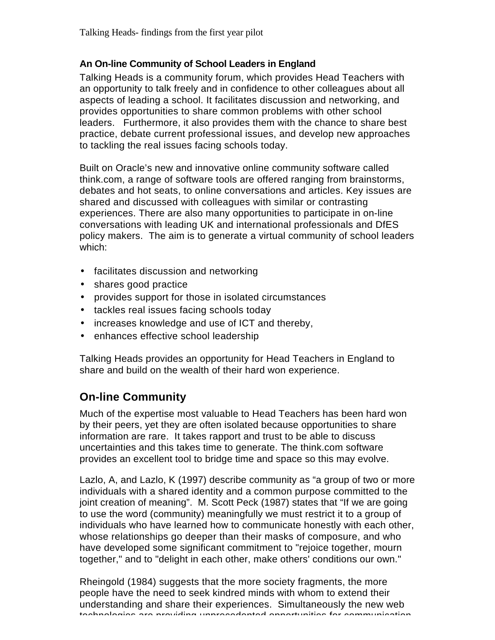#### **An On-line Community of School Leaders in England**

Talking Heads is a community forum, which provides Head Teachers with an opportunity to talk freely and in confidence to other colleagues about all aspects of leading a school. It facilitates discussion and networking, and provides opportunities to share common problems with other school leaders. Furthermore, it also provides them with the chance to share best practice, debate current professional issues, and develop new approaches to tackling the real issues facing schools today.

Built on Oracle's new and innovative online community software called think.com, a range of software tools are offered ranging from brainstorms, debates and hot seats, to online conversations and articles. Key issues are shared and discussed with colleagues with similar or contrasting experiences. There are also many opportunities to participate in on-line conversations with leading UK and international professionals and DfES policy makers. The aim is to generate a virtual community of school leaders which:

- facilitates discussion and networking
- shares good practice
- provides support for those in isolated circumstances
- tackles real issues facing schools today
- increases knowledge and use of ICT and thereby,
- enhances effective school leadership

Talking Heads provides an opportunity for Head Teachers in England to share and build on the wealth of their hard won experience.

## **On-line Community**

Much of the expertise most valuable to Head Teachers has been hard won by their peers, yet they are often isolated because opportunities to share information are rare. It takes rapport and trust to be able to discuss uncertainties and this takes time to generate. The think.com software provides an excellent tool to bridge time and space so this may evolve.

Lazlo, A, and Lazlo, K (1997) describe community as "a group of two or more individuals with a shared identity and a common purpose committed to the joint creation of meaning". M. Scott Peck (1987) states that "If we are going to use the word (community) meaningfully we must restrict it to a group of individuals who have learned how to communicate honestly with each other, whose relationships go deeper than their masks of composure, and who have developed some significant commitment to "rejoice together, mourn together," and to "delight in each other, make others' conditions our own."

Rheingold (1984) suggests that the more society fragments, the more people have the need to seek kindred minds with whom to extend their understanding and share their experiences. Simultaneously the new web technologies are providing unprecedented opportunities for communication,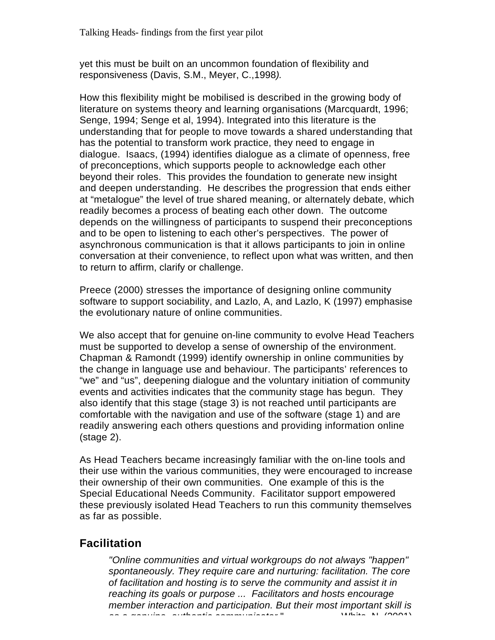yet this must be built on an uncommon foundation of flexibility and responsiveness (Davis, S.M., Meyer, C.,1998*).*

How this flexibility might be mobilised is described in the growing body of literature on systems theory and learning organisations (Marcquardt, 1996; Senge, 1994; Senge et al, 1994). Integrated into this literature is the understanding that for people to move towards a shared understanding that has the potential to transform work practice, they need to engage in dialogue. Isaacs, (1994) identifies dialogue as a climate of openness, free of preconceptions, which supports people to acknowledge each other beyond their roles. This provides the foundation to generate new insight and deepen understanding. He describes the progression that ends either at "metalogue" the level of true shared meaning, or alternately debate, which readily becomes a process of beating each other down. The outcome depends on the willingness of participants to suspend their preconceptions and to be open to listening to each other's perspectives. The power of asynchronous communication is that it allows participants to join in online conversation at their convenience, to reflect upon what was written, and then to return to affirm, clarify or challenge.

Preece (2000) stresses the importance of designing online community software to support sociability, and Lazlo, A, and Lazlo, K (1997) emphasise the evolutionary nature of online communities.

We also accept that for genuine on-line community to evolve Head Teachers must be supported to develop a sense of ownership of the environment. Chapman & Ramondt (1999) identify ownership in online communities by the change in language use and behaviour. The participants' references to "we" and "us", deepening dialogue and the voluntary initiation of community events and activities indicates that the community stage has begun. They also identify that this stage (stage 3) is not reached until participants are comfortable with the navigation and use of the software (stage 1) and are readily answering each others questions and providing information online (stage 2).

As Head Teachers became increasingly familiar with the on-line tools and their use within the various communities, they were encouraged to increase their ownership of their own communities. One example of this is the Special Educational Needs Community. Facilitator support empowered these previously isolated Head Teachers to run this community themselves as far as possible.

## **Facilitation**

*"Online communities and virtual workgroups do not always "happen" spontaneously. They require care and nurturing: facilitation. The core of facilitation and hosting is to serve the community and assist it in reaching its goals or purpose ... Facilitators and hosts encourage member interaction and participation. But their most important skill is as a genuine, authentic communicator*." White, N. (2001)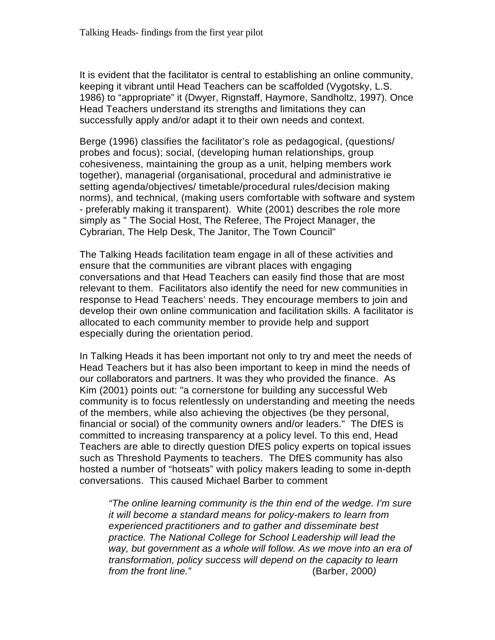It is evident that the facilitator is central to establishing an online community, keeping it vibrant until Head Teachers can be scaffolded (Vygotsky, L.S. 1986) to "appropriate" it (Dwyer, Rignstaff, Haymore, Sandholtz, 1997). Once Head Teachers understand its strengths and limitations they can successfully apply and/or adapt it to their own needs and context.

Berge (1996) classifies the facilitator's role as pedagogical, (questions/ probes and focus); social, (developing human relationships, group cohesiveness, maintaining the group as a unit, helping members work together), managerial (organisational, procedural and administrative ie setting agenda/objectives/ timetable/procedural rules/decision making norms), and technical, (making users comfortable with software and system - preferably making it transparent). White (2001) describes the role more simply as " The Social Host, The Referee, The Project Manager, the Cybrarian, The Help Desk, The Janitor, The Town Council"

The Talking Heads facilitation team engage in all of these activities and ensure that the communities are vibrant places with engaging conversations and that Head Teachers can easily find those that are most relevant to them. Facilitators also identify the need for new communities in response to Head Teachers' needs. They encourage members to join and develop their own online communication and facilitation skills. A facilitator is allocated to each community member to provide help and support especially during the orientation period.

In Talking Heads it has been important not only to try and meet the needs of Head Teachers but it has also been important to keep in mind the needs of our collaborators and partners. It was they who provided the finance. As Kim (2001) points out: "a cornerstone for building any successful Web community is to focus relentlessly on understanding and meeting the needs of the members, while also achieving the objectives (be they personal, financial or social) of the community owners and/or leaders." The DfES is committed to increasing transparency at a policy level. To this end, Head Teachers are able to directly question DfES policy experts on topical issues such as Threshold Payments to teachers. The DfES community has also hosted a number of "hotseats" with policy makers leading to some in-depth conversations. This caused Michael Barber to comment

*"The online learning community is the thin end of the wedge. I'm sure it will become a standard means for policy-makers to learn from experienced practitioners and to gather and disseminate best practice. The National College for School Leadership will lead the way, but government as a whole will follow. As we move into an era of transformation, policy success will depend on the capacity to learn from the front line."* (Barber, 2000*)*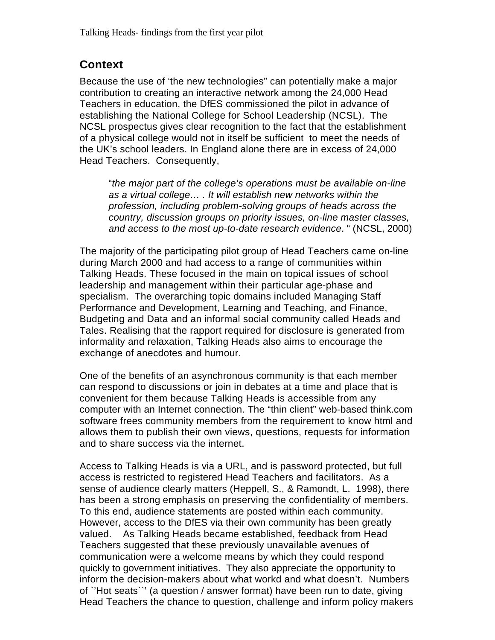### **Context**

Because the use of 'the new technologies" can potentially make a major contribution to creating an interactive network among the 24,000 Head Teachers in education, the DfES commissioned the pilot in advance of establishing the National College for School Leadership (NCSL). The NCSL prospectus gives clear recognition to the fact that the establishment of a physical college would not in itself be sufficient to meet the needs of the UK's school leaders. In England alone there are in excess of 24,000 Head Teachers. Consequently,

"*the major part of the college's operations must be available on-line as a virtual college… . It will establish new networks within the profession, including problem-solving groups of heads across the country, discussion groups on priority issues, on-line master classes, and access to the most up-to-date research evidence*. " (NCSL, 2000)

The majority of the participating pilot group of Head Teachers came on-line during March 2000 and had access to a range of communities within Talking Heads. These focused in the main on topical issues of school leadership and management within their particular age-phase and specialism. The overarching topic domains included Managing Staff Performance and Development, Learning and Teaching, and Finance, Budgeting and Data and an informal social community called Heads and Tales. Realising that the rapport required for disclosure is generated from informality and relaxation, Talking Heads also aims to encourage the exchange of anecdotes and humour.

One of the benefits of an asynchronous community is that each member can respond to discussions or join in debates at a time and place that is convenient for them because Talking Heads is accessible from any computer with an Internet connection. The "thin client" web-based think.com software frees community members from the requirement to know html and allows them to publish their own views, questions, requests for information and to share success via the internet.

Access to Talking Heads is via a URL, and is password protected, but full access is restricted to registered Head Teachers and facilitators. As a sense of audience clearly matters (Heppell, S., & Ramondt, L. 1998), there has been a strong emphasis on preserving the confidentiality of members. To this end, audience statements are posted within each community. However, access to the DfES via their own community has been greatly valued. As Talking Heads became established, feedback from Head Teachers suggested that these previously unavailable avenues of communication were a welcome means by which they could respond quickly to government initiatives. They also appreciate the opportunity to inform the decision-makers about what workd and what doesn't. Numbers of `'Hot seats``' (a question / answer format) have been run to date, giving Head Teachers the chance to question, challenge and inform policy makers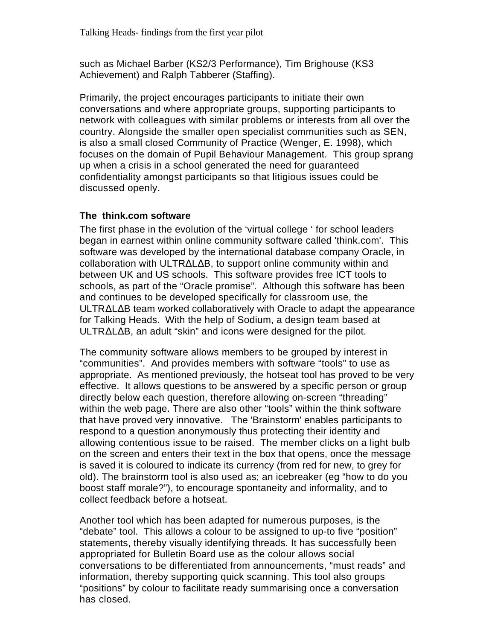such as Michael Barber (KS2/3 Performance), Tim Brighouse (KS3 Achievement) and Ralph Tabberer (Staffing).

Primarily, the project encourages participants to initiate their own conversations and where appropriate groups, supporting participants to network with colleagues with similar problems or interests from all over the country. Alongside the smaller open specialist communities such as SEN, is also a small closed Community of Practice (Wenger, E. 1998), which focuses on the domain of Pupil Behaviour Management. This group sprang up when a crisis in a school generated the need for guaranteed confidentiality amongst participants so that litigious issues could be discussed openly.

#### **The think.com software**

The first phase in the evolution of the 'virtual college ' for school leaders began in earnest within online community software called 'think.com'. This software was developed by the international database company Oracle, in collaboration with ULTR L B, to support online community within and between UK and US schools. This software provides free ICT tools to schools, as part of the "Oracle promise". Although this software has been and continues to be developed specifically for classroom use, the ULTR L B team worked collaboratively with Oracle to adapt the appearance for Talking Heads. With the help of Sodium, a design team based at ULTR L B, an adult "skin" and icons were designed for the pilot.

The community software allows members to be grouped by interest in "communities". And provides members with software "tools" to use as appropriate. As mentioned previously, the hotseat tool has proved to be very effective. It allows questions to be answered by a specific person or group directly below each question, therefore allowing on-screen "threading" within the web page. There are also other "tools" within the think software that have proved very innovative. The 'Brainstorm' enables participants to respond to a question anonymously thus protecting their identity and allowing contentious issue to be raised. The member clicks on a light bulb on the screen and enters their text in the box that opens, once the message is saved it is coloured to indicate its currency (from red for new, to grey for old). The brainstorm tool is also used as; an icebreaker (eg "how to do you boost staff morale?"), to encourage spontaneity and informality, and to collect feedback before a hotseat.

Another tool which has been adapted for numerous purposes, is the "debate" tool. This allows a colour to be assigned to up-to five "position" statements, thereby visually identifying threads. It has successfully been appropriated for Bulletin Board use as the colour allows social conversations to be differentiated from announcements, "must reads" and information, thereby supporting quick scanning. This tool also groups "positions" by colour to facilitate ready summarising once a conversation has closed.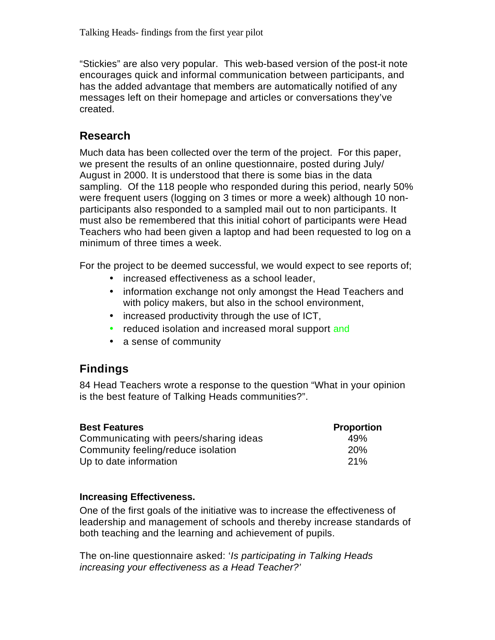"Stickies" are also very popular. This web-based version of the post-it note encourages quick and informal communication between participants, and has the added advantage that members are automatically notified of any messages left on their homepage and articles or conversations they've created.

## **Research**

Much data has been collected over the term of the project. For this paper, we present the results of an online questionnaire, posted during July/ August in 2000. It is understood that there is some bias in the data sampling. Of the 118 people who responded during this period, nearly 50% were frequent users (logging on 3 times or more a week) although 10 nonparticipants also responded to a sampled mail out to non participants. It must also be remembered that this initial cohort of participants were Head Teachers who had been given a laptop and had been requested to log on a minimum of three times a week.

For the project to be deemed successful, we would expect to see reports of;

- increased effectiveness as a school leader,
- information exchange not only amongst the Head Teachers and with policy makers, but also in the school environment,
- increased productivity through the use of ICT,
- reduced isolation and increased moral support and
- a sense of community

## **Findings**

84 Head Teachers wrote a response to the question "What in your opinion is the best feature of Talking Heads communities?".

| <b>Best Features</b>                   | <b>Proportion</b> |
|----------------------------------------|-------------------|
| Communicating with peers/sharing ideas | 49%               |
| Community feeling/reduce isolation     | <b>20%</b>        |
| Up to date information                 | 21%               |

#### **Increasing Effectiveness.**

One of the first goals of the initiative was to increase the effectiveness of leadership and management of schools and thereby increase standards of both teaching and the learning and achievement of pupils.

The on-line questionnaire asked: '*Is participating in Talking Heads increasing your effectiveness as a Head Teacher?'*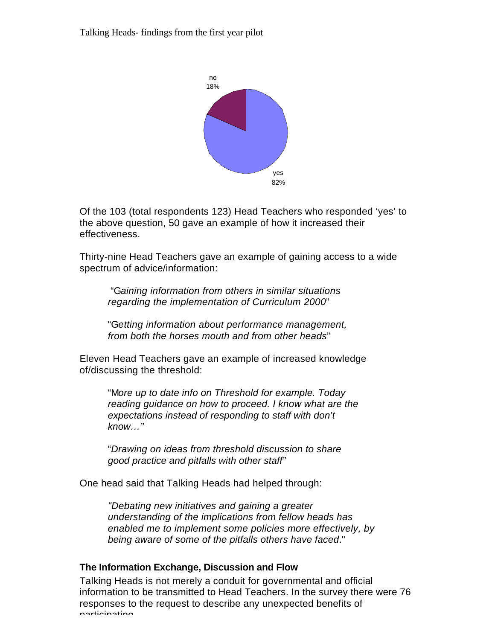Talking Heads- findings from the first year pilot



Of the 103 (total respondents 123) Head Teachers who responded 'yes' to the above question, 50 gave an example of how it increased their effectiveness.

Thirty-nine Head Teachers gave an example of gaining access to a wide spectrum of advice/information:

 "G*aining information from others in similar situations regarding the implementation of Curriculum 2000*"

"G*etting information about performance management, from both the horses mouth and from other heads*"

Eleven Head Teachers gave an example of increased knowledge of/discussing the threshold:

"M*ore up to date info on Threshold for example. Today reading guidance on how to proceed. I know what are the expectations instead of responding to staff with don't know…*"

"*Drawing on ideas from threshold discussion to share good practice and pitfalls with other staff"*

One head said that Talking Heads had helped through:

*"Debating new initiatives and gaining a greater understanding of the implications from fellow heads has enabled me to implement some policies more effectively, by being aware of some of the pitfalls others have faced*."

#### **The Information Exchange, Discussion and Flow**

Talking Heads is not merely a conduit for governmental and official information to be transmitted to Head Teachers. In the survey there were 76 responses to the request to describe any unexpected benefits of narticipating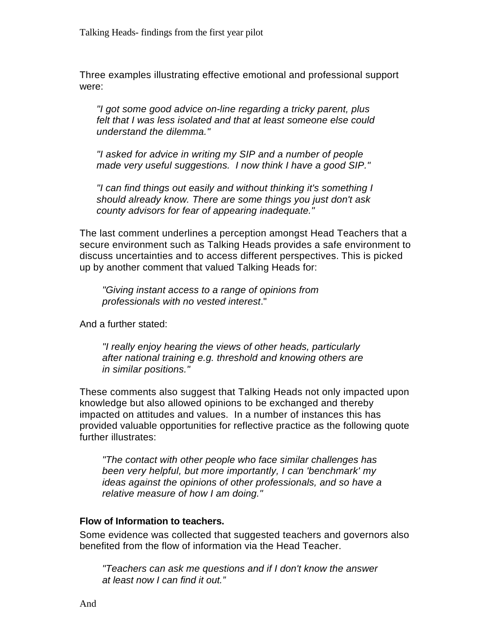Three examples illustrating effective emotional and professional support were:

*"I got some good advice on-line regarding a tricky parent, plus felt that I was less isolated and that at least someone else could understand the dilemma."*

*"I asked for advice in writing my SIP and a number of people made very useful suggestions. I now think I have a good SIP."*

*"I can find things out easily and without thinking it's something I should already know. There are some things you just don't ask county advisors for fear of appearing inadequate."*

The last comment underlines a perception amongst Head Teachers that a secure environment such as Talking Heads provides a safe environment to discuss uncertainties and to access different perspectives. This is picked up by another comment that valued Talking Heads for:

*"Giving instant access to a range of opinions from professionals with no vested interest*."

And a further stated:

*"I really enjoy hearing the views of other heads, particularly after national training e.g. threshold and knowing others are in similar positions."*

These comments also suggest that Talking Heads not only impacted upon knowledge but also allowed opinions to be exchanged and thereby impacted on attitudes and values. In a number of instances this has provided valuable opportunities for reflective practice as the following quote further illustrates:

*"The contact with other people who face similar challenges has been very helpful, but more importantly, I can 'benchmark' my ideas against the opinions of other professionals, and so have a relative measure of how I am doing."*

#### **Flow of Information to teachers.**

Some evidence was collected that suggested teachers and governors also benefited from the flow of information via the Head Teacher.

*"Teachers can ask me questions and if I don't know the answer at least now I can find it out."*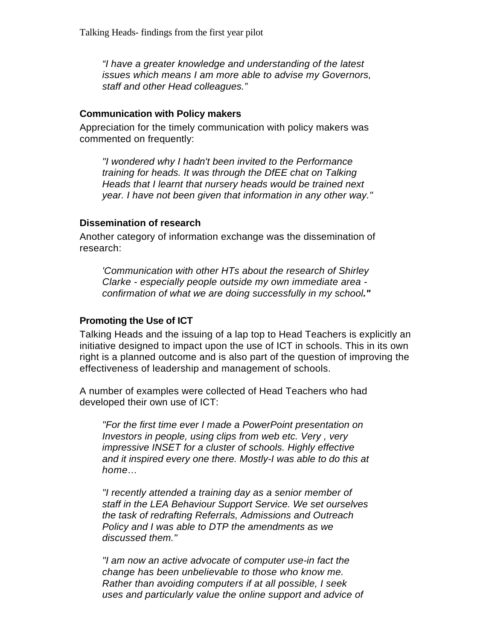*"I have a greater knowledge and understanding of the latest issues which means I am more able to advise my Governors, staff and other Head colleagues."*

#### **Communication with Policy makers**

Appreciation for the timely communication with policy makers was commented on frequently:

*"I wondered why I hadn't been invited to the Performance training for heads. It was through the DfEE chat on Talking Heads that I learnt that nursery heads would be trained next year. I have not been given that information in any other way."*

#### **Dissemination of research**

Another category of information exchange was the dissemination of research:

*'Communication with other HTs about the research of Shirley Clarke - especially people outside my own immediate area confirmation of what we are doing successfully in my school."*

#### **Promoting the Use of ICT**

Talking Heads and the issuing of a lap top to Head Teachers is explicitly an initiative designed to impact upon the use of ICT in schools. This in its own right is a planned outcome and is also part of the question of improving the effectiveness of leadership and management of schools.

A number of examples were collected of Head Teachers who had developed their own use of ICT:

*"For the first time ever I made a PowerPoint presentation on Investors in people, using clips from web etc. Very , very impressive INSET for a cluster of schools. Highly effective and it inspired every one there. Mostly-I was able to do this at home…*

*"I recently attended a training day as a senior member of staff in the LEA Behaviour Support Service. We set ourselves the task of redrafting Referrals, Admissions and Outreach Policy and I was able to DTP the amendments as we discussed them."*

*"I am now an active advocate of computer use-in fact the change has been unbelievable to those who know me. Rather than avoiding computers if at all possible, I seek uses and particularly value the online support and advice of*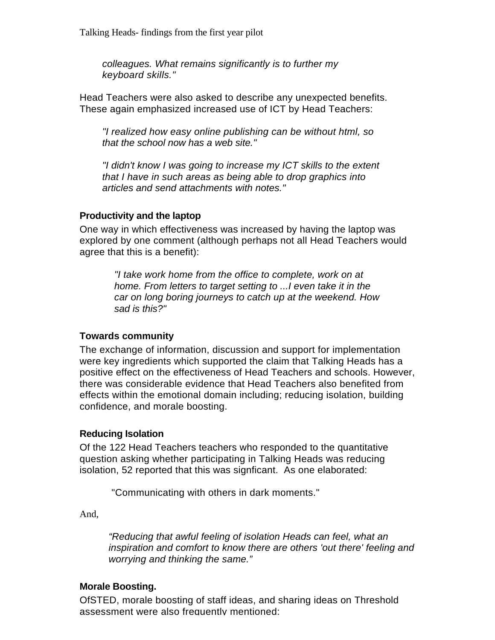*colleagues. What remains significantly is to further my keyboard skills."*

Head Teachers were also asked to describe any unexpected benefits. These again emphasized increased use of ICT by Head Teachers:

*"I realized how easy online publishing can be without html, so that the school now has a web site."*

*"I didn't know I was going to increase my ICT skills to the extent that I have in such areas as being able to drop graphics into articles and send attachments with notes."*

#### **Productivity and the laptop**

One way in which effectiveness was increased by having the laptop was explored by one comment (although perhaps not all Head Teachers would agree that this is a benefit):

> *"I take work home from the office to complete, work on at home. From letters to target setting to ...I even take it in the car on long boring journeys to catch up at the weekend. How sad is this?"*

#### **Towards community**

The exchange of information, discussion and support for implementation were key ingredients which supported the claim that Talking Heads has a positive effect on the effectiveness of Head Teachers and schools. However, there was considerable evidence that Head Teachers also benefited from effects within the emotional domain including; reducing isolation, building confidence, and morale boosting.

#### **Reducing Isolation**

Of the 122 Head Teachers teachers who responded to the quantitative question asking whether participating in Talking Heads was reducing isolation, 52 reported that this was signficant. As one elaborated:

"Communicating with others in dark moments."

And,

*"Reducing that awful feeling of isolation Heads can feel, what an inspiration and comfort to know there are others 'out there' feeling and worrying and thinking the same."*

#### **Morale Boosting.**

OfSTED, morale boosting of staff ideas, and sharing ideas on Threshold assessment were also frequently mentioned: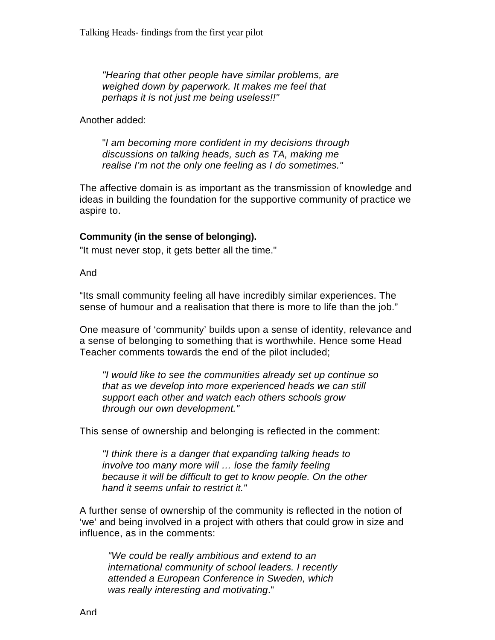*"Hearing that other people have similar problems, are weighed down by paperwork. It makes me feel that perhaps it is not just me being useless!!"*

Another added:

"*I am becoming more confident in my decisions through discussions on talking heads, such as TA, making me realise I'm not the only one feeling as I do sometimes."*

The affective domain is as important as the transmission of knowledge and ideas in building the foundation for the supportive community of practice we aspire to.

#### **Community (in the sense of belonging).**

"It must never stop, it gets better all the time."

And

"Its small community feeling all have incredibly similar experiences. The sense of humour and a realisation that there is more to life than the job."

One measure of 'community' builds upon a sense of identity, relevance and a sense of belonging to something that is worthwhile. Hence some Head Teacher comments towards the end of the pilot included;

*"I would like to see the communities already set up continue so that as we develop into more experienced heads we can still support each other and watch each others schools grow through our own development."*

This sense of ownership and belonging is reflected in the comment:

*"I think there is a danger that expanding talking heads to involve too many more will … lose the family feeling because it will be difficult to get to know people. On the other hand it seems unfair to restrict it."*

A further sense of ownership of the community is reflected in the notion of 'we' and being involved in a project with others that could grow in size and influence, as in the comments:

*"We could be really ambitious and extend to an international community of school leaders. I recently attended a European Conference in Sweden, which was really interesting and motivating*."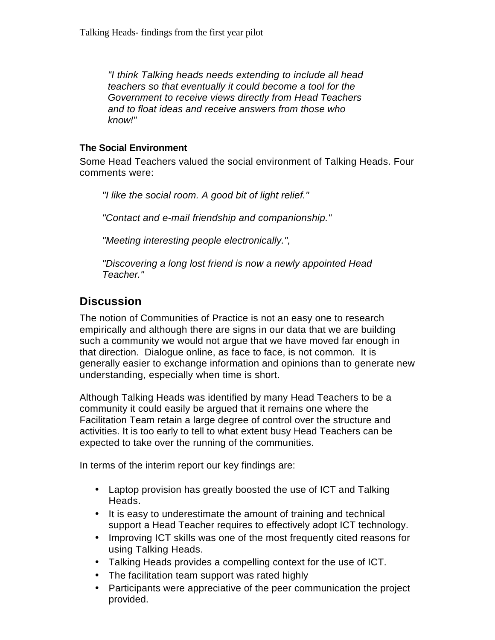*"I think Talking heads needs extending to include all head teachers so that eventually it could become a tool for the Government to receive views directly from Head Teachers and to float ideas and receive answers from those who know!"*

#### **The Social Environment**

Some Head Teachers valued the social environment of Talking Heads. Four comments were:

*"I like the social room. A good bit of light relief."*

*"Contact and e-mail friendship and companionship."*

*"Meeting interesting people electronically.",*

*"Discovering a long lost friend is now a newly appointed Head Teacher."*

# **Discussion**

The notion of Communities of Practice is not an easy one to research empirically and although there are signs in our data that we are building such a community we would not argue that we have moved far enough in that direction. Dialogue online, as face to face, is not common. It is generally easier to exchange information and opinions than to generate new understanding, especially when time is short.

Although Talking Heads was identified by many Head Teachers to be a community it could easily be argued that it remains one where the Facilitation Team retain a large degree of control over the structure and activities. It is too early to tell to what extent busy Head Teachers can be expected to take over the running of the communities.

In terms of the interim report our key findings are:

- Laptop provision has greatly boosted the use of ICT and Talking Heads.
- It is easy to underestimate the amount of training and technical support a Head Teacher requires to effectively adopt ICT technology.
- Improving ICT skills was one of the most frequently cited reasons for using Talking Heads.
- Talking Heads provides a compelling context for the use of ICT.
- The facilitation team support was rated highly
- Participants were appreciative of the peer communication the project provided.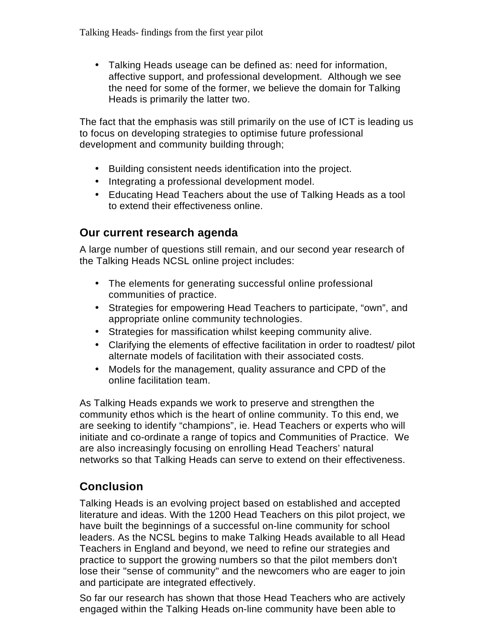• Talking Heads useage can be defined as: need for information, affective support, and professional development. Although we see the need for some of the former, we believe the domain for Talking Heads is primarily the latter two.

The fact that the emphasis was still primarily on the use of ICT is leading us to focus on developing strategies to optimise future professional development and community building through;

- Building consistent needs identification into the project.
- Integrating a professional development model.
- Educating Head Teachers about the use of Talking Heads as a tool to extend their effectiveness online.

### **Our current research agenda**

A large number of questions still remain, and our second year research of the Talking Heads NCSL online project includes:

- The elements for generating successful online professional communities of practice.
- Strategies for empowering Head Teachers to participate, "own", and appropriate online community technologies.
- Strategies for massification whilst keeping community alive.
- Clarifying the elements of effective facilitation in order to roadtest/ pilot alternate models of facilitation with their associated costs.
- Models for the management, quality assurance and CPD of the online facilitation team.

As Talking Heads expands we work to preserve and strengthen the community ethos which is the heart of online community. To this end, we are seeking to identify "champions", ie. Head Teachers or experts who will initiate and co-ordinate a range of topics and Communities of Practice. We are also increasingly focusing on enrolling Head Teachers' natural networks so that Talking Heads can serve to extend on their effectiveness.

## **Conclusion**

Talking Heads is an evolving project based on established and accepted literature and ideas. With the 1200 Head Teachers on this pilot project, we have built the beginnings of a successful on-line community for school leaders. As the NCSL begins to make Talking Heads available to all Head Teachers in England and beyond, we need to refine our strategies and practice to support the growing numbers so that the pilot members don't lose their "sense of community" and the newcomers who are eager to join and participate are integrated effectively.

So far our research has shown that those Head Teachers who are actively engaged within the Talking Heads on-line community have been able to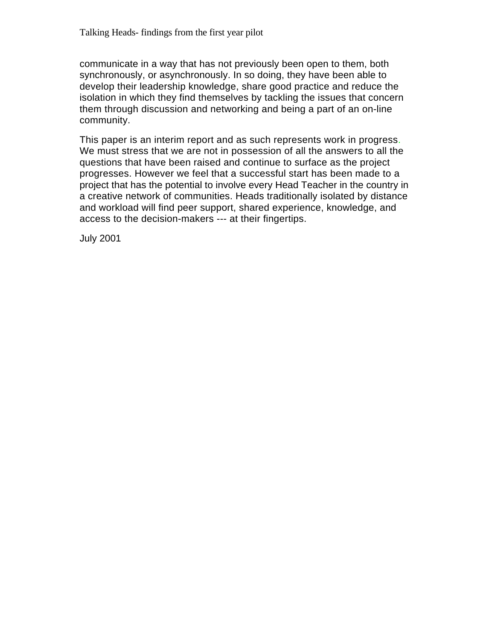communicate in a way that has not previously been open to them, both synchronously, or asynchronously. In so doing, they have been able to develop their leadership knowledge, share good practice and reduce the isolation in which they find themselves by tackling the issues that concern them through discussion and networking and being a part of an on-line community.

This paper is an interim report and as such represents work in progress. We must stress that we are not in possession of all the answers to all the questions that have been raised and continue to surface as the project progresses. However we feel that a successful start has been made to a project that has the potential to involve every Head Teacher in the country in a creative network of communities. Heads traditionally isolated by distance and workload will find peer support, shared experience, knowledge, and access to the decision-makers --- at their fingertips.

July 2001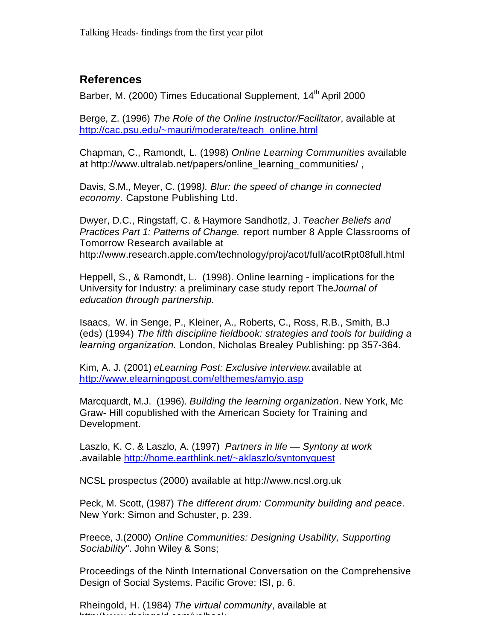## **References**

Barber, M. (2000) Times Educational Supplement, 14<sup>th</sup> April 2000

Berge, Z. (1996) *The Role of the Online Instructor/Facilitator*, available at http://cac.psu.edu/~mauri/moderate/teach\_online.html

Chapman, C., Ramondt, L. (1998) *Online Learning Communities* available at http://www.ultralab.net/papers/online\_learning\_communities/,

Davis, S.M., Meyer, C. (1998*). Blur: the speed of change in connected economy.* Capstone Publishing Ltd.

Dwyer, D.C., Ringstaff, C. & Haymore Sandhotlz, J. *Teacher Beliefs and Practices Part 1: Patterns of Change.* report number 8 Apple Classrooms of Tomorrow Research available at http://www.research.apple.com/technology/proj/acot/full/acotRpt08full.html

Heppell, S., & Ramondt, L. (1998). Online learning - implications for the University for Industry: a preliminary case study report The*Journal of education through partnership.*

Isaacs, W. in Senge, P., Kleiner, A., Roberts, C., Ross, R.B., Smith, B.J (eds) (1994) *The fifth discipline fieldbook: strategies and tools for building a learning organization.* London, Nicholas Brealey Publishing: pp 357-364.

Kim, A. J. (2001) *eLearning Post: Exclusive interview.*available at http://www.elearningpost.com/elthemes/amyjo.asp

Marcquardt, M.J. (1996). *Building the learning organization*. New York, Mc Graw- Hill copublished with the American Society for Training and Development.

Laszlo, K. C. & Laszlo, A. (1997) *Partners in life — Syntony at work .*available http://home.earthlink.net/~aklaszlo/syntonyquest

NCSL prospectus (2000) available at http://www.ncsl.org.uk

Peck, M. Scott, (1987) *The different drum: Community building and peace*. New York: Simon and Schuster, p. 239.

Preece, J.(2000) *Online Communities: Designing Usability, Supporting Sociability*". John Wiley & Sons;

Proceedings of the Ninth International Conversation on the Comprehensive Design of Social Systems. Pacific Grove: ISI, p. 6.

Rheingold, H. (1984) *The virtual community*, available at http://www.rheingold.com/vc/book